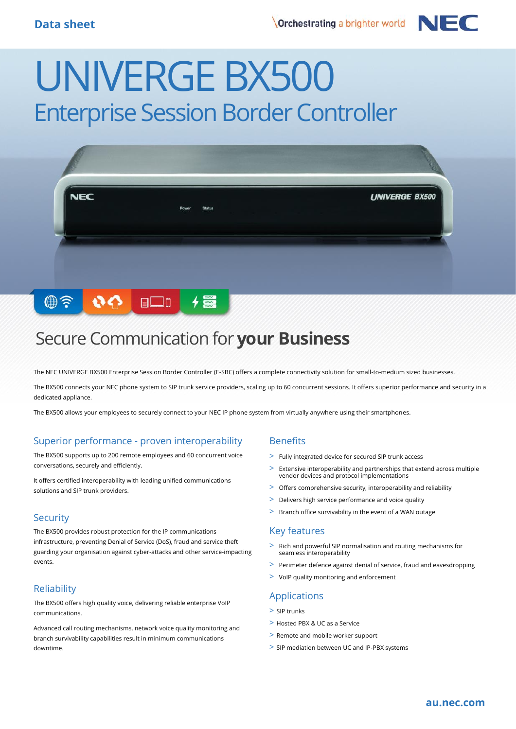

# UNIVERGE BX500 Enterprise Session Border Controller



## Secure Communication for **your Business**

The NEC UNIVERGE BX500 Enterprise Session Border Controller (E-SBC) offers a complete connectivity solution for small-to-medium sized businesses.

The BX500 connects your NEC phone system to SIP trunk service providers, scaling up to 60 concurrent sessions. It offers superior performance and security in a dedicated appliance.

The BX500 allows your employees to securely connect to your NEC IP phone system from virtually anywhere using their smartphones.

#### Superior performance - proven interoperability

The BX500 supports up to 200 remote employees and 60 concurrent voice conversations, securely and efficiently.

It offers certified interoperability with leading unified communications solutions and SIP trunk providers.

#### **Security**

The BX500 provides robust protection for the IP communications infrastructure, preventing Denial of Service (DoS), fraud and service theft guarding your organisation against cyber-attacks and other service-impacting events.

### **Reliability**

The BX500 offers high quality voice, delivering reliable enterprise VoIP communications.

Advanced call routing mechanisms, network voice quality monitoring and branch survivability capabilities result in minimum communications downtime.

#### **Benefits**

- > Fully integrated device for secured SIP trunk access
- > Extensive interoperability and partnerships that extend across multiple vendor devices and protocol implementations
- > Offers comprehensive security, interoperability and reliability
- > Delivers high service performance and voice quality
- > Branch office survivability in the event of a WAN outage

#### Key features

- > Rich and powerful SIP normalisation and routing mechanisms for seamless interoperability
- > Perimeter defence against denial of service, fraud and eavesdropping
- > VoIP quality monitoring and enforcement

#### Applications

- > SIP trunks
- > Hosted PBX & UC as a Service
- > Remote and mobile worker support
- > SIP mediation between UC and IP-PBX systems